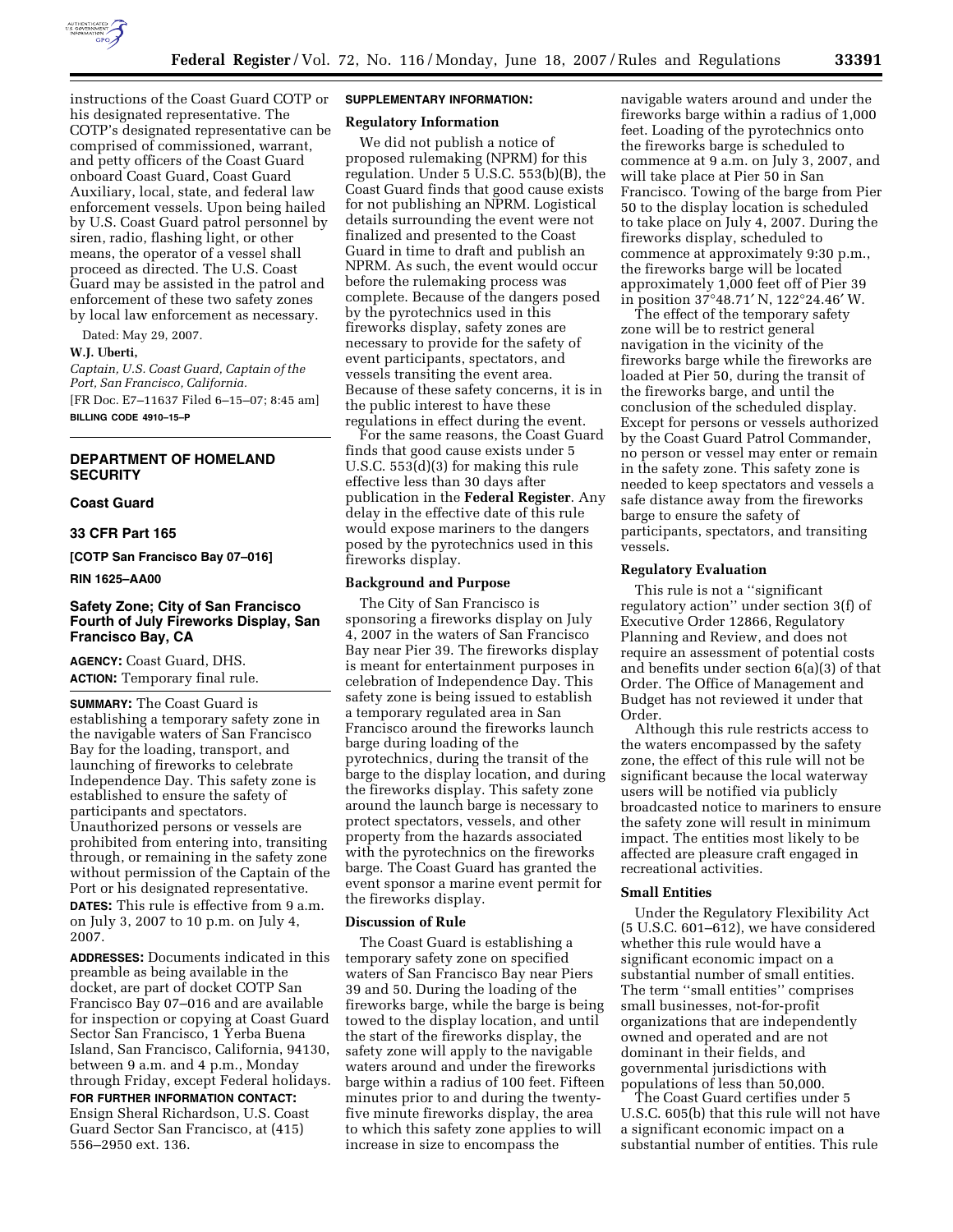

instructions of the Coast Guard COTP or his designated representative. The COTP's designated representative can be comprised of commissioned, warrant, and petty officers of the Coast Guard onboard Coast Guard, Coast Guard Auxiliary, local, state, and federal law enforcement vessels. Upon being hailed by U.S. Coast Guard patrol personnel by siren, radio, flashing light, or other means, the operator of a vessel shall proceed as directed. The U.S. Coast Guard may be assisted in the patrol and enforcement of these two safety zones by local law enforcement as necessary.

Dated: May 29, 2007.

#### **W.J. Uberti,**

*Captain, U.S. Coast Guard, Captain of the Port, San Francisco, California.*  [FR Doc. E7–11637 Filed 6–15–07; 8:45 am] **BILLING CODE 4910–15–P** 

# **DEPARTMENT OF HOMELAND SECURITY**

### **Coast Guard**

#### **33 CFR Part 165**

**[COTP San Francisco Bay 07–016]** 

**RIN 1625–AA00** 

# **Safety Zone; City of San Francisco Fourth of July Fireworks Display, San Francisco Bay, CA**

**AGENCY:** Coast Guard, DHS. **ACTION:** Temporary final rule.

**SUMMARY:** The Coast Guard is establishing a temporary safety zone in the navigable waters of San Francisco Bay for the loading, transport, and launching of fireworks to celebrate Independence Day. This safety zone is established to ensure the safety of participants and spectators. Unauthorized persons or vessels are prohibited from entering into, transiting through, or remaining in the safety zone without permission of the Captain of the Port or his designated representative. **DATES:** This rule is effective from 9 a.m.

on July 3, 2007 to 10 p.m. on July 4, 2007.

**ADDRESSES:** Documents indicated in this preamble as being available in the docket, are part of docket COTP San Francisco Bay 07–016 and are available for inspection or copying at Coast Guard Sector San Francisco, 1 Yerba Buena Island, San Francisco, California, 94130, between 9 a.m. and 4 p.m., Monday through Friday, except Federal holidays.

### **FOR FURTHER INFORMATION CONTACT:**

Ensign Sheral Richardson, U.S. Coast Guard Sector San Francisco, at (415) 556–2950 ext. 136.

# **SUPPLEMENTARY INFORMATION:**

# **Regulatory Information**

We did not publish a notice of proposed rulemaking (NPRM) for this regulation. Under 5 U.S.C. 553(b)(B), the Coast Guard finds that good cause exists for not publishing an NPRM. Logistical details surrounding the event were not finalized and presented to the Coast Guard in time to draft and publish an NPRM. As such, the event would occur before the rulemaking process was complete. Because of the dangers posed by the pyrotechnics used in this fireworks display, safety zones are necessary to provide for the safety of event participants, spectators, and vessels transiting the event area. Because of these safety concerns, it is in the public interest to have these regulations in effect during the event.

For the same reasons, the Coast Guard finds that good cause exists under 5 U.S.C. 553(d)(3) for making this rule effective less than 30 days after publication in the **Federal Register**. Any delay in the effective date of this rule would expose mariners to the dangers posed by the pyrotechnics used in this fireworks display.

#### **Background and Purpose**

The City of San Francisco is sponsoring a fireworks display on July 4, 2007 in the waters of San Francisco Bay near Pier 39. The fireworks display is meant for entertainment purposes in celebration of Independence Day. This safety zone is being issued to establish a temporary regulated area in San Francisco around the fireworks launch barge during loading of the pyrotechnics, during the transit of the barge to the display location, and during the fireworks display. This safety zone around the launch barge is necessary to protect spectators, vessels, and other property from the hazards associated with the pyrotechnics on the fireworks barge. The Coast Guard has granted the event sponsor a marine event permit for the fireworks display.

#### **Discussion of Rule**

The Coast Guard is establishing a temporary safety zone on specified waters of San Francisco Bay near Piers 39 and 50. During the loading of the fireworks barge, while the barge is being towed to the display location, and until the start of the fireworks display, the safety zone will apply to the navigable waters around and under the fireworks barge within a radius of 100 feet. Fifteen minutes prior to and during the twentyfive minute fireworks display, the area to which this safety zone applies to will increase in size to encompass the

navigable waters around and under the fireworks barge within a radius of 1,000 feet. Loading of the pyrotechnics onto the fireworks barge is scheduled to commence at 9 a.m. on July 3, 2007, and will take place at Pier 50 in San Francisco. Towing of the barge from Pier 50 to the display location is scheduled to take place on July 4, 2007. During the fireworks display, scheduled to commence at approximately 9:30 p.m., the fireworks barge will be located approximately 1,000 feet off of Pier 39 in position 37°48.71′ N, 122°24.46′ W.

The effect of the temporary safety zone will be to restrict general navigation in the vicinity of the fireworks barge while the fireworks are loaded at Pier 50, during the transit of the fireworks barge, and until the conclusion of the scheduled display. Except for persons or vessels authorized by the Coast Guard Patrol Commander, no person or vessel may enter or remain in the safety zone. This safety zone is needed to keep spectators and vessels a safe distance away from the fireworks barge to ensure the safety of participants, spectators, and transiting vessels.

### **Regulatory Evaluation**

This rule is not a ''significant regulatory action'' under section 3(f) of Executive Order 12866, Regulatory Planning and Review, and does not require an assessment of potential costs and benefits under section 6(a)(3) of that Order. The Office of Management and Budget has not reviewed it under that Order.

Although this rule restricts access to the waters encompassed by the safety zone, the effect of this rule will not be significant because the local waterway users will be notified via publicly broadcasted notice to mariners to ensure the safety zone will result in minimum impact. The entities most likely to be affected are pleasure craft engaged in recreational activities.

#### **Small Entities**

Under the Regulatory Flexibility Act (5 U.S.C. 601–612), we have considered whether this rule would have a significant economic impact on a substantial number of small entities. The term ''small entities'' comprises small businesses, not-for-profit organizations that are independently owned and operated and are not dominant in their fields, and governmental jurisdictions with populations of less than 50,000.

The Coast Guard certifies under 5 U.S.C. 605(b) that this rule will not have a significant economic impact on a substantial number of entities. This rule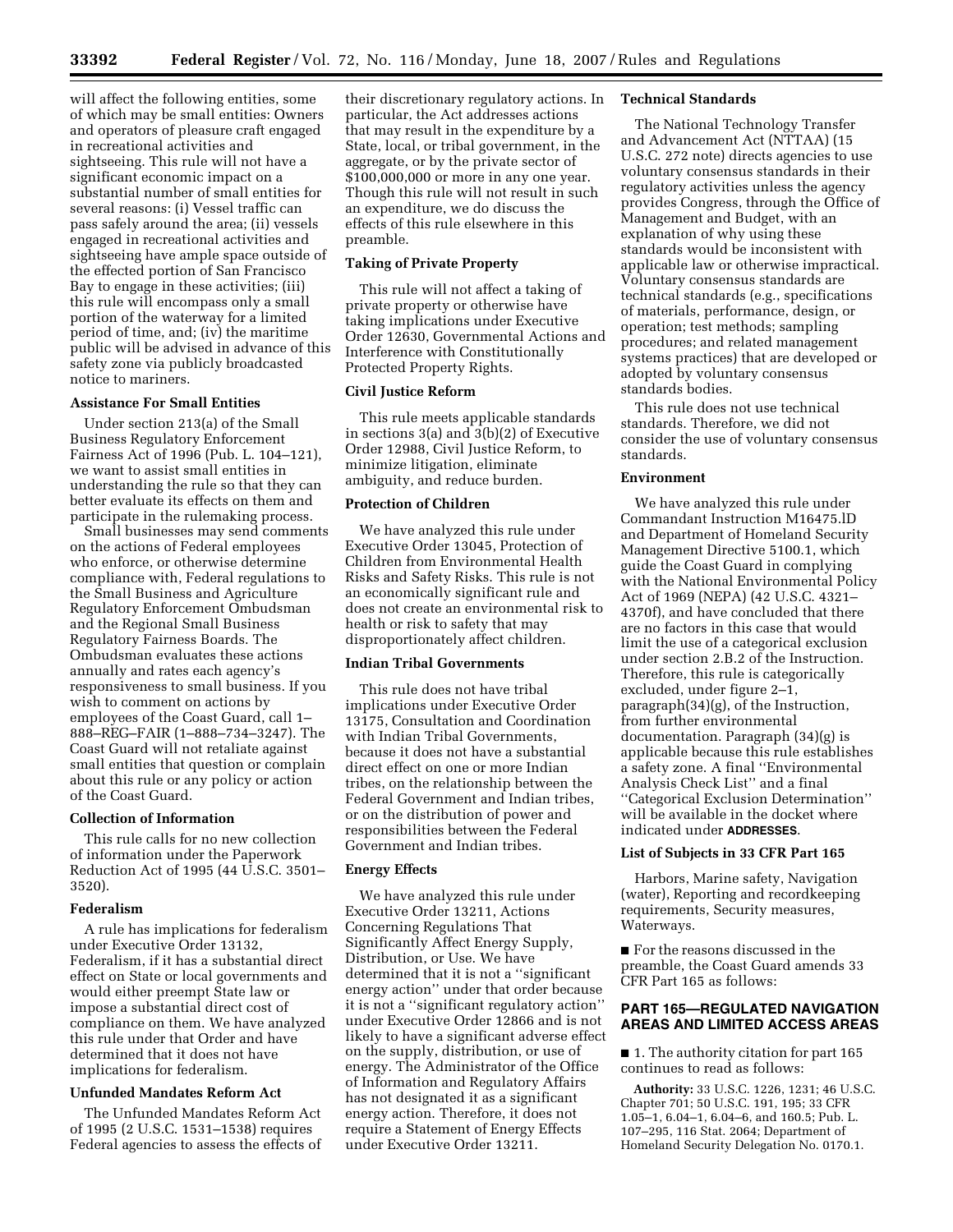will affect the following entities, some of which may be small entities: Owners and operators of pleasure craft engaged in recreational activities and sightseeing. This rule will not have a significant economic impact on a substantial number of small entities for several reasons: (i) Vessel traffic can pass safely around the area; (ii) vessels engaged in recreational activities and sightseeing have ample space outside of the effected portion of San Francisco Bay to engage in these activities; (iii) this rule will encompass only a small portion of the waterway for a limited period of time, and; (iv) the maritime public will be advised in advance of this safety zone via publicly broadcasted notice to mariners.

# **Assistance For Small Entities**

Under section 213(a) of the Small Business Regulatory Enforcement Fairness Act of 1996 (Pub. L. 104–121), we want to assist small entities in understanding the rule so that they can better evaluate its effects on them and participate in the rulemaking process.

Small businesses may send comments on the actions of Federal employees who enforce, or otherwise determine compliance with, Federal regulations to the Small Business and Agriculture Regulatory Enforcement Ombudsman and the Regional Small Business Regulatory Fairness Boards. The Ombudsman evaluates these actions annually and rates each agency's responsiveness to small business. If you wish to comment on actions by employees of the Coast Guard, call 1– 888–REG–FAIR (1–888–734–3247). The Coast Guard will not retaliate against small entities that question or complain about this rule or any policy or action of the Coast Guard.

# **Collection of Information**

This rule calls for no new collection of information under the Paperwork Reduction Act of 1995 (44 U.S.C. 3501– 3520).

### **Federalism**

A rule has implications for federalism under Executive Order 13132, Federalism, if it has a substantial direct effect on State or local governments and would either preempt State law or impose a substantial direct cost of compliance on them. We have analyzed this rule under that Order and have determined that it does not have implications for federalism.

### **Unfunded Mandates Reform Act**

The Unfunded Mandates Reform Act of 1995 (2 U.S.C. 1531–1538) requires Federal agencies to assess the effects of their discretionary regulatory actions. In particular, the Act addresses actions that may result in the expenditure by a State, local, or tribal government, in the aggregate, or by the private sector of \$100,000,000 or more in any one year. Though this rule will not result in such an expenditure, we do discuss the effects of this rule elsewhere in this preamble.

# **Taking of Private Property**

This rule will not affect a taking of private property or otherwise have taking implications under Executive Order 12630, Governmental Actions and Interference with Constitutionally Protected Property Rights.

### **Civil Justice Reform**

This rule meets applicable standards in sections 3(a) and 3(b)(2) of Executive Order 12988, Civil Justice Reform, to minimize litigation, eliminate ambiguity, and reduce burden.

### **Protection of Children**

We have analyzed this rule under Executive Order 13045, Protection of Children from Environmental Health Risks and Safety Risks. This rule is not an economically significant rule and does not create an environmental risk to health or risk to safety that may disproportionately affect children.

### **Indian Tribal Governments**

This rule does not have tribal implications under Executive Order 13175, Consultation and Coordination with Indian Tribal Governments, because it does not have a substantial direct effect on one or more Indian tribes, on the relationship between the Federal Government and Indian tribes, or on the distribution of power and responsibilities between the Federal Government and Indian tribes.

#### **Energy Effects**

We have analyzed this rule under Executive Order 13211, Actions Concerning Regulations That Significantly Affect Energy Supply, Distribution, or Use. We have determined that it is not a ''significant energy action'' under that order because it is not a ''significant regulatory action'' under Executive Order 12866 and is not likely to have a significant adverse effect on the supply, distribution, or use of energy. The Administrator of the Office of Information and Regulatory Affairs has not designated it as a significant energy action. Therefore, it does not require a Statement of Energy Effects under Executive Order 13211.

### **Technical Standards**

The National Technology Transfer and Advancement Act (NTTAA) (15 U.S.C. 272 note) directs agencies to use voluntary consensus standards in their regulatory activities unless the agency provides Congress, through the Office of Management and Budget, with an explanation of why using these standards would be inconsistent with applicable law or otherwise impractical. Voluntary consensus standards are technical standards (e.g., specifications of materials, performance, design, or operation; test methods; sampling procedures; and related management systems practices) that are developed or adopted by voluntary consensus standards bodies.

This rule does not use technical standards. Therefore, we did not consider the use of voluntary consensus standards.

#### **Environment**

We have analyzed this rule under Commandant Instruction M16475.lD and Department of Homeland Security Management Directive 5100.1, which guide the Coast Guard in complying with the National Environmental Policy Act of 1969 (NEPA) (42 U.S.C. 4321– 4370f), and have concluded that there are no factors in this case that would limit the use of a categorical exclusion under section 2.B.2 of the Instruction. Therefore, this rule is categorically excluded, under figure 2–1, paragraph(34)(g), of the Instruction, from further environmental documentation. Paragraph (34)(g) is applicable because this rule establishes a safety zone. A final ''Environmental Analysis Check List'' and a final ''Categorical Exclusion Determination'' will be available in the docket where indicated under **ADDRESSES**.

#### **List of Subjects in 33 CFR Part 165**

Harbors, Marine safety, Navigation (water), Reporting and recordkeeping requirements, Security measures, Waterways.

■ For the reasons discussed in the preamble, the Coast Guard amends 33 CFR Part 165 as follows:

# **PART 165—REGULATED NAVIGATION AREAS AND LIMITED ACCESS AREAS**

■ 1. The authority citation for part 165 continues to read as follows:

**Authority:** 33 U.S.C. 1226, 1231; 46 U.S.C. Chapter 701; 50 U.S.C. 191, 195; 33 CFR 1.05–1, 6.04–1, 6.04–6, and 160.5; Pub. L. 107–295, 116 Stat. 2064; Department of Homeland Security Delegation No. 0170.1.